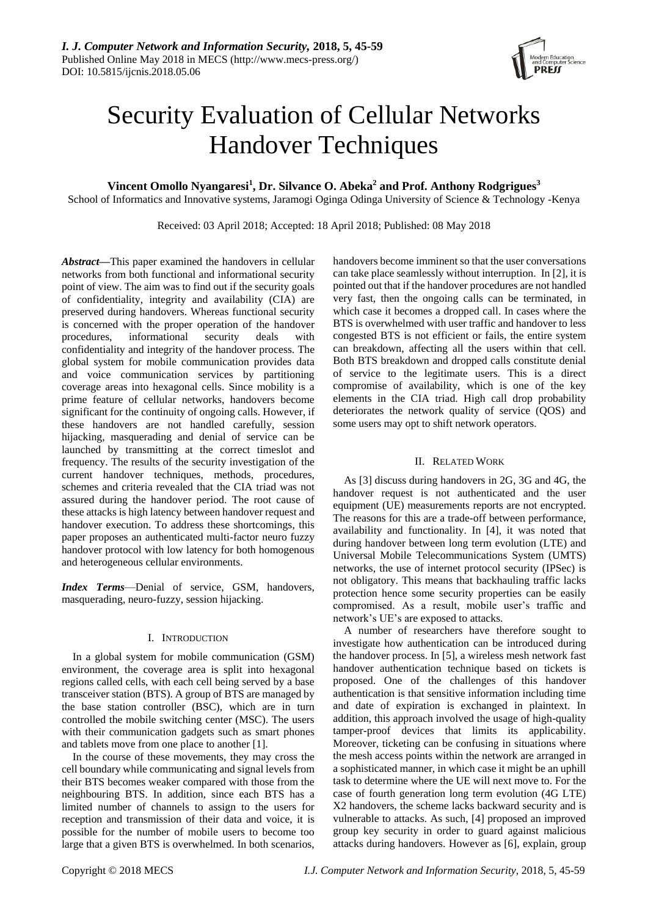

# Security Evaluation of Cellular Networks Handover Techniques

## **Vincent Omollo Nyangaresi<sup>1</sup> , Dr. Silvance O. Abeka<sup>2</sup> and Prof. Anthony Rodgrigues<sup>3</sup>**

School of Informatics and Innovative systems, Jaramogi Oginga Odinga University of Science & Technology -Kenya

Received: 03 April 2018; Accepted: 18 April 2018; Published: 08 May 2018

*Abstract***—**This paper examined the handovers in cellular networks from both functional and informational security point of view. The aim was to find out if the security goals of confidentiality, integrity and availability (CIA) are preserved during handovers. Whereas functional security is concerned with the proper operation of the handover procedures, informational security deals with confidentiality and integrity of the handover process. The global system for mobile communication provides data and voice communication services by partitioning coverage areas into hexagonal cells. Since mobility is a prime feature of cellular networks, handovers become significant for the continuity of ongoing calls. However, if these handovers are not handled carefully, session hijacking, masquerading and denial of service can be launched by transmitting at the correct timeslot and frequency. The results of the security investigation of the current handover techniques, methods, procedures, schemes and criteria revealed that the CIA triad was not assured during the handover period. The root cause of these attacks is high latency between handover request and handover execution. To address these shortcomings, this paper proposes an authenticated multi-factor neuro fuzzy handover protocol with low latency for both homogenous and heterogeneous cellular environments.

*Index Terms*—Denial of service, GSM, handovers, masquerading, neuro-fuzzy, session hijacking.

## I. INTRODUCTION

In a global system for mobile communication (GSM) environment, the coverage area is split into hexagonal regions called cells, with each cell being served by a base transceiver station (BTS). A group of BTS are managed by the base station controller (BSC), which are in turn controlled the mobile switching center (MSC). The users with their communication gadgets such as smart phones and tablets move from one place to another [1].

In the course of these movements, they may cross the cell boundary while communicating and signal levels from their BTS becomes weaker compared with those from the neighbouring BTS. In addition, since each BTS has a limited number of channels to assign to the users for reception and transmission of their data and voice, it is possible for the number of mobile users to become too large that a given BTS is overwhelmed. In both scenarios,

handovers become imminent so that the user conversations can take place seamlessly without interruption. In [2], it is pointed out that if the handover procedures are not handled very fast, then the ongoing calls can be terminated, in which case it becomes a dropped call. In cases where the BTS is overwhelmed with user traffic and handover to less congested BTS is not efficient or fails, the entire system can breakdown, affecting all the users within that cell. Both BTS breakdown and dropped calls constitute denial of service to the legitimate users. This is a direct compromise of availability, which is one of the key elements in the CIA triad. High call drop probability deteriorates the network quality of service (QOS) and some users may opt to shift network operators.

## II. RELATED WORK

As [3] discuss during handovers in 2G, 3G and 4G, the handover request is not authenticated and the user equipment (UE) measurements reports are not encrypted. The reasons for this are a trade-off between performance, availability and functionality. In [4], it was noted that during handover between long term evolution (LTE) and Universal Mobile Telecommunications System (UMTS) networks, the use of internet protocol security (IPSec) is not obligatory. This means that backhauling traffic lacks protection hence some security properties can be easily compromised. As a result, mobile user's traffic and network's UE's are exposed to attacks.

A number of researchers have therefore sought to investigate how authentication can be introduced during the handover process. In [5], a wireless mesh network fast handover authentication technique based on tickets is proposed. One of the challenges of this handover authentication is that sensitive information including time and date of expiration is exchanged in plaintext. In addition, this approach involved the usage of high-quality tamper-proof devices that limits its applicability. Moreover, ticketing can be confusing in situations where the mesh access points within the network are arranged in a sophisticated manner, in which case it might be an uphill task to determine where the UE will next move to. For the case of fourth generation long term evolution (4G LTE) X2 handovers, the scheme lacks backward security and is vulnerable to attacks. As such, [4] proposed an improved group key security in order to guard against malicious attacks during handovers. However as [6], explain, group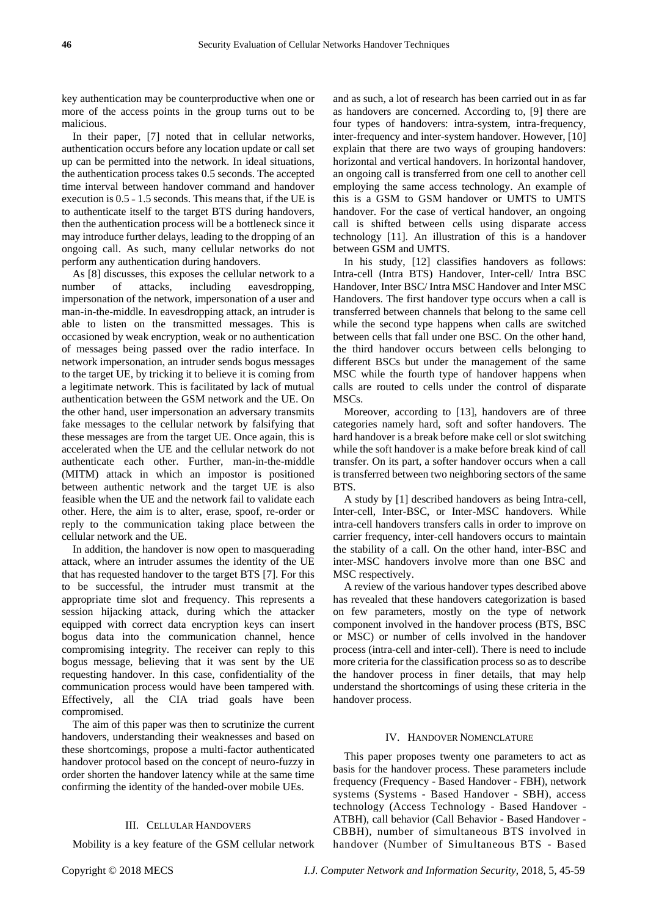key authentication may be counterproductive when one or more of the access points in the group turns out to be malicious.

In their paper, [7] noted that in cellular networks, authentication occurs before any location update or call set up can be permitted into the network. In ideal situations, the authentication process takes 0.5 seconds. The accepted time interval between handover command and handover execution is  $0.5 - 1.5$  seconds. This means that, if the UE is to authenticate itself to the target BTS during handovers, then the authentication process will be a bottleneck since it may introduce further delays, leading to the dropping of an ongoing call. As such, many cellular networks do not perform any authentication during handovers.

As [8] discusses, this exposes the cellular network to a number of attacks, including eavesdropping, impersonation of the network, impersonation of a user and man-in-the-middle. In eavesdropping attack, an intruder is able to listen on the transmitted messages. This is occasioned by weak encryption, weak or no authentication of messages being passed over the radio interface. In network impersonation, an intruder sends bogus messages to the target UE, by tricking it to believe it is coming from a legitimate network. This is facilitated by lack of mutual authentication between the GSM network and the UE. On the other hand, user impersonation an adversary transmits fake messages to the cellular network by falsifying that these messages are from the target UE. Once again, this is accelerated when the UE and the cellular network do not authenticate each other. Further, man-in-the-middle (MITM) attack in which an impostor is positioned between authentic network and the target UE is also feasible when the UE and the network fail to validate each other. Here, the aim is to alter, erase, spoof, re-order or reply to the communication taking place between the cellular network and the UE.

In addition, the handover is now open to masquerading attack, where an intruder assumes the identity of the UE that has requested handover to the target BTS [7]. For this to be successful, the intruder must transmit at the appropriate time slot and frequency. This represents a session hijacking attack, during which the attacker equipped with correct data encryption keys can insert bogus data into the communication channel, hence compromising integrity. The receiver can reply to this bogus message, believing that it was sent by the UE requesting handover. In this case, confidentiality of the communication process would have been tampered with. Effectively, all the CIA triad goals have been compromised.

The aim of this paper was then to scrutinize the current handovers, understanding their weaknesses and based on these shortcomings, propose a multi-factor authenticated handover protocol based on the concept of neuro-fuzzy in order shorten the handover latency while at the same time confirming the identity of the handed-over mobile UEs.

#### III. CELLULAR HANDOVERS

Mobility is a key feature of the GSM cellular network

and as such, a lot of research has been carried out in as far as handovers are concerned. According to, [9] there are four types of handovers: intra-system, intra-frequency, inter-frequency and inter-system handover. However, [10] explain that there are two ways of grouping handovers: horizontal and vertical handovers. In horizontal handover, an ongoing call is transferred from one cell to another cell employing the same access technology. An example of this is a GSM to GSM handover or UMTS to UMTS handover. For the case of vertical handover, an ongoing call is shifted between cells using disparate access technology [11]. An illustration of this is a handover between GSM and UMTS.

In his study, [12] classifies handovers as follows: Intra-cell (Intra BTS) Handover, Inter-cell/ Intra BSC Handover, Inter BSC/ Intra MSC Handover and Inter MSC Handovers. The first handover type occurs when a call is transferred between channels that belong to the same cell while the second type happens when calls are switched between cells that fall under one BSC. On the other hand, the third handover occurs between cells belonging to different BSCs but under the management of the same MSC while the fourth type of handover happens when calls are routed to cells under the control of disparate MSCs.

Moreover, according to [13], handovers are of three categories namely hard, soft and softer handovers. The hard handover is a break before make cell or slot switching while the soft handover is a make before break kind of call transfer. On its part, a softer handover occurs when a call is transferred between two neighboring sectors of the same **BTS**.

A study by [1] described handovers as being Intra-cell, Inter-cell, Inter-BSC, or Inter-MSC handovers. While intra-cell handovers transfers calls in order to improve on carrier frequency, inter-cell handovers occurs to maintain the stability of a call. On the other hand, inter-BSC and inter-MSC handovers involve more than one BSC and MSC respectively.

A review of the various handover types described above has revealed that these handovers categorization is based on few parameters, mostly on the type of network component involved in the handover process (BTS, BSC or MSC) or number of cells involved in the handover process (intra-cell and inter-cell). There is need to include more criteria for the classification process so as to describe the handover process in finer details, that may help understand the shortcomings of using these criteria in the handover process.

#### IV. HANDOVER NOMENCLATURE

This paper proposes twenty one parameters to act as basis for the handover process. These parameters include frequency (Frequency - Based Handover - FBH), network systems (Systems - Based Handover - SBH), access technology (Access Technology - Based Handover - ATBH), call behavior (Call Behavior - Based Handover - CBBH), number of simultaneous BTS involved in handover (Number of Simultaneous BTS - Based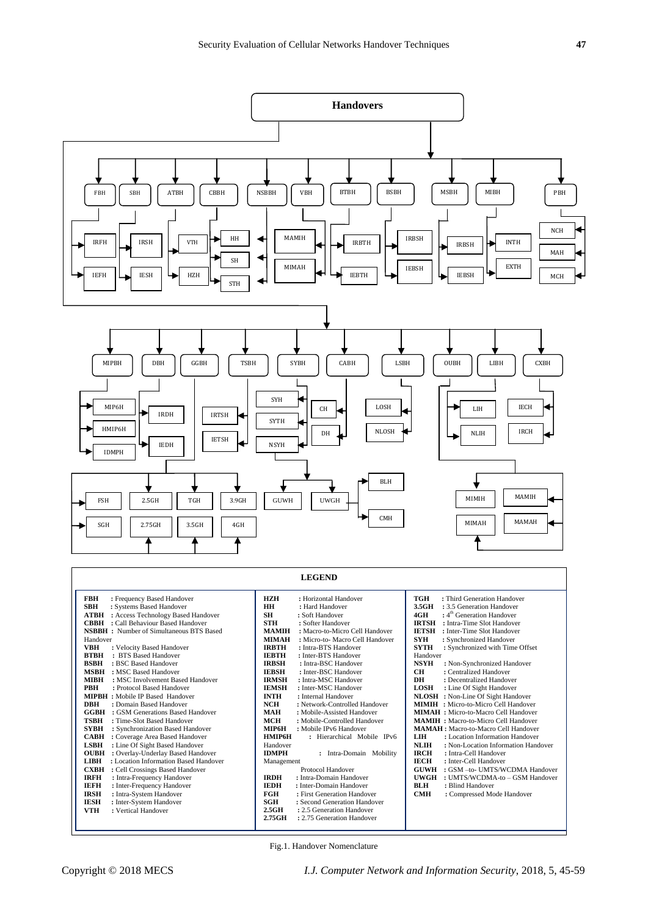

| <b>FBH</b><br>: Frequency Based Handover             | <b>HZH</b><br>: Horizontal Handover             | TGH<br>: Third Generation Handover                 |
|------------------------------------------------------|-------------------------------------------------|----------------------------------------------------|
| <b>SBH</b><br>: Systems Based Handover               | <b>HH</b><br>: Hard Handover                    | 3.5GH<br>: 3.5 Generation Handover                 |
| <b>ATBH</b> : Access Technology Based Handover       | <b>SH</b><br>: Soft Handover                    | $: 4th$ Generation Handover<br>4GH                 |
| : Call Behaviour Based Handover<br><b>CBBH</b>       | <b>STH</b><br>: Softer Handover                 | <b>IRTSH</b><br>: Intra-Time Slot Handover         |
| <b>NSBBH</b> : Number of Simultaneous BTS Based      | : Macro-to-Micro Cell Handover<br><b>MAMIH</b>  | <b>IETSH</b><br>: Inter-Time Slot Handover         |
| Handover                                             | <b>MIMAH</b><br>: Micro-to- Macro Cell Handover | <b>SYH</b><br>: Synchronized Handover              |
| <b>VBH</b><br>: Velocity Based Handover              | <b>IRBTH</b><br>: Intra-BTS Handover            | <b>SYTH</b><br>: Synchronized with Time Offset     |
| : BTS Based Handover<br><b>BTBH</b>                  | <b>IEBTH</b><br>: Inter-BTS Handover            | Handover                                           |
| <b>BSBH</b><br>: BSC Based Handover                  | <b>IRBSH</b><br>: Intra-BSC Handover            | <b>NSYH</b><br>: Non-Synchronized Handover         |
| <b>MSBH</b><br>: MSC Based Handover                  | <b>IEBSH</b><br>: Inter-BSC Handover            | : Centralized Handover<br><b>CH</b>                |
| <b>MIBH</b><br>: MSC Involvement Based Handover      | <b>IRMSH</b><br>: Intra-MSC Handover            | DH<br>: Decentralized Handover                     |
| <b>PBH</b><br>: Protocol Based Handover              | <b>IEMSH</b><br>: Inter-MSC Handover            | <b>LOSH</b><br>: Line Of Sight Handover            |
| <b>MIPBH</b> : Mobile IP Based Handover              | <b>INTH</b><br>: Internal Handover              | NLOSH : Non-Line Of Sight Handover                 |
| <b>DBH</b><br>: Domain Based Handover                | <b>NCH</b><br>: Network-Controlled Handover     | <b>MIMIH</b> : Micro-to-Micro Cell Handover        |
| GGBH<br>: GSM Generations Based Handover             | <b>MAH</b><br>: Mobile-Assisted Handover        | <b>MIMAH:</b> Micro-to-Macro Cell Handover         |
| <b>TSBH</b><br>: Time-Slot Based Handover            | <b>MCH</b><br>: Mobile-Controlled Handover      | <b>MAMIH:</b> Macro-to-Micro Cell Handover         |
| <b>SYBH</b><br>: Synchronization Based Handover      | MIP6H<br>: Mobile IPv6 Handover                 | <b>MAMAH</b> : Macro-to-Macro Cell Handover        |
| : Coverage Area Based Handover<br><b>CABH</b>        | <b>HMIP6H</b><br>: Hierarchical Mobile IPv6     | LIH<br>: Location Information Handover             |
| : Line Of Sight Based Handover<br><b>LSBH</b>        | Handover                                        | <b>NLIH</b><br>: Non-Location Information Handover |
| <b>OUBH</b><br>: Overlay-Underlay Based Handover     | <b>IDMPH</b><br>Intra-Domain Mobility           | <b>IRCH</b><br>: Intra-Cell Handover               |
| : Location Information Based Handover<br><b>LIBH</b> | Management                                      | <b>IECH</b><br>: Inter-Cell Handover               |
| : Cell Crossings Based Handover<br><b>CXBH</b>       | Protocol Handover                               | : GSM -to- UMTS/WCDMA Handover<br>GUWH             |
| <b>IRFH</b><br>: Intra-Frequency Handover            | <b>IRDH</b><br>: Intra-Domain Handover          | : UMTS/WCDMA-to - GSM Handover<br>UWGH             |
| <b>IEFH</b><br>: Inter-Frequency Handover            | <b>IEDH</b><br>: Inter-Domain Handover          | <b>BLH</b><br>: Blind Handover                     |
| <b>IRSH</b><br>: Intra-System Handover               | <b>FGH</b><br>: First Generation Handover       | <b>CMH</b><br>: Compressed Mode Handover           |
| <b>IESH</b><br>: Inter-System Handover               | SGH<br>: Second Generation Handover             |                                                    |
| <b>VTH</b><br>: Vertical Handover                    | $2.5$ GH<br>: 2.5 Generation Handover           |                                                    |
|                                                      | 2.75GH<br>: 2.75 Generation Handover            |                                                    |
|                                                      |                                                 |                                                    |
|                                                      |                                                 |                                                    |

Fig.1. Handover Nomenclature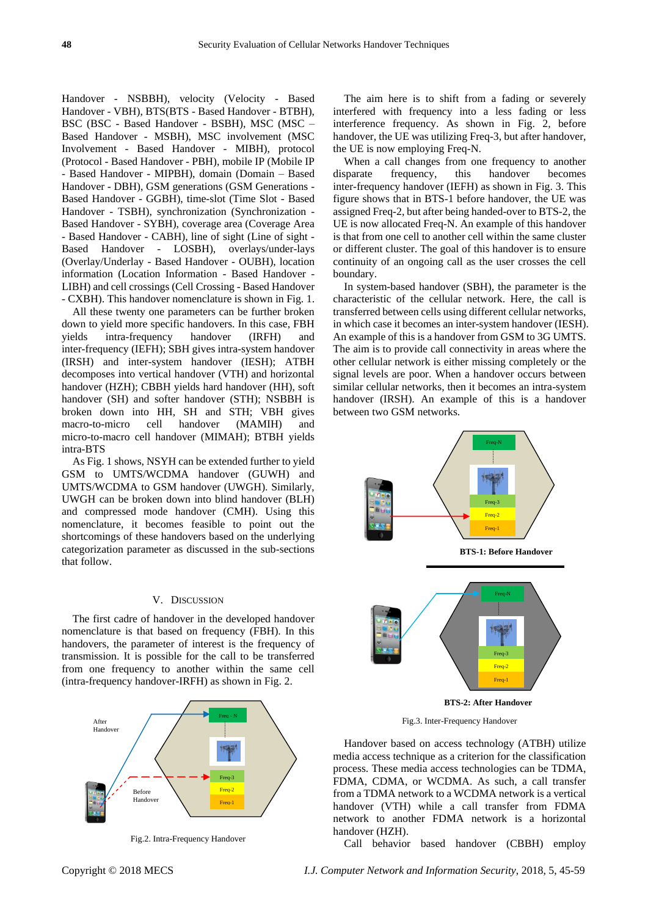Handover - NSBBH), velocity (Velocity - Based Handover - VBH), BTS(BTS - Based Handover - BTBH), BSC (BSC - Based Handover - BSBH), MSC (MSC – Based Handover - MSBH), MSC involvement (MSC Involvement - Based Handover - MIBH), protocol (Protocol - Based Handover - PBH), mobile IP (Mobile IP - Based Handover - MIPBH), domain (Domain – Based Handover - DBH), GSM generations (GSM Generations - Based Handover - GGBH), time-slot (Time Slot - Based Handover - TSBH), synchronization (Synchronization - Based Handover - SYBH), coverage area (Coverage Area - Based Handover - CABH), line of sight (Line of sight - Based Handover - LOSBH), overlays/under-lays (Overlay/Underlay - Based Handover - OUBH), location information (Location Information - Based Handover - LIBH) and cell crossings (Cell Crossing - Based Handover - CXBH). This handover nomenclature is shown in Fig. 1.

All these twenty one parameters can be further broken down to yield more specific handovers. In this case, FBH yields intra-frequency handover (IRFH) and inter-frequency (IEFH); SBH gives intra-system handover (IRSH) and inter-system handover (IESH); ATBH decomposes into vertical handover (VTH) and horizontal handover (HZH); CBBH yields hard handover (HH), soft handover (SH) and softer handover (STH); NSBBH is broken down into HH, SH and STH; VBH gives macro-to-micro cell handover (MAMIH) and micro-to-macro cell handover (MIMAH); BTBH yields intra-BTS

As Fig. 1 shows, NSYH can be extended further to yield GSM to UMTS/WCDMA handover (GUWH) and UMTS/WCDMA to GSM handover (UWGH). Similarly, UWGH can be broken down into blind handover (BLH) and compressed mode handover (CMH). Using this nomenclature, it becomes feasible to point out the shortcomings of these handovers based on the underlying categorization parameter as discussed in the sub-sections that follow.

## V. DISCUSSION

The first cadre of handover in the developed handover nomenclature is that based on frequency (FBH). In this handovers, the parameter of interest is the frequency of transmission. It is possible for the call to be transferred from one frequency to another within the same cell (intra-frequency handover-IRFH) as shown in Fig. 2.



Fig.2. Intra-Frequency Handover

The aim here is to shift from a fading or severely interfered with frequency into a less fading or less interference frequency. As shown in Fig. 2, before handover, the UE was utilizing Freq-3, but after handover, the UE is now employing Freq-N.

When a call changes from one frequency to another disparate frequency, this handover becomes inter-frequency handover (IEFH) as shown in Fig. 3. This figure shows that in BTS-1 before handover, the UE was assigned Freq-2, but after being handed-over to BTS-2, the UE is now allocated Freq-N. An example of this handover is that from one cell to another cell within the same cluster or different cluster. The goal of this handover is to ensure continuity of an ongoing call as the user crosses the cell boundary.

In system-based handover (SBH), the parameter is the characteristic of the cellular network. Here, the call is transferred between cells using different cellular networks, in which case it becomes an inter-system handover (IESH). An example of this is a handover from GSM to 3G UMTS. The aim is to provide call connectivity in areas where the other cellular network is either missing completely or the signal levels are poor. When a handover occurs between similar cellular networks, then it becomes an intra-system handover (IRSH). An example of this is a handover between two GSM networks.



Fig.3. Inter-Frequency Handover

Handover based on access technology (ATBH) utilize media access technique as a criterion for the classification process. These media access technologies can be TDMA, FDMA, CDMA, or WCDMA. As such, a call transfer from a TDMA network to a WCDMA network is a vertical handover (VTH) while a call transfer from FDMA network to another FDMA network is a horizontal handover (HZH).

Call behavior based handover (CBBH) employ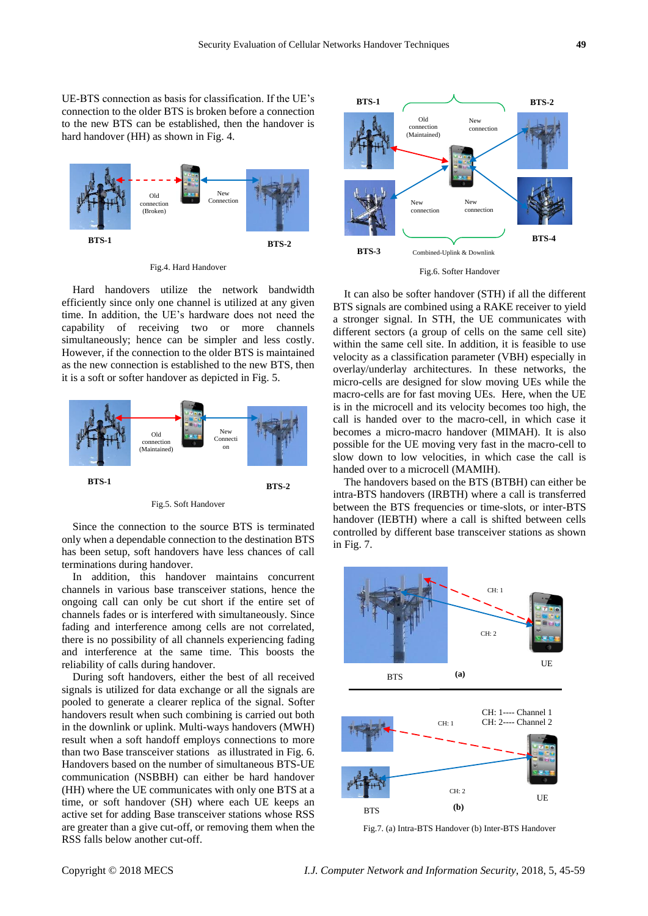UE-BTS connection as basis for classification. If the UE's connection to the older BTS is broken before a connection to the new BTS can be established, then the handover is hard handover (HH) as shown in Fig. 4.



Fig.4. Hard Handover

Hard handovers utilize the network bandwidth efficiently since only one channel is utilized at any given time. In addition, the UE's hardware does not need the capability of receiving two or more channels simultaneously; hence can be simpler and less costly. However, if the connection to the older BTS is maintained as the new connection is established to the new BTS, then it is a soft or softer handover as depicted in Fig. 5.



Fig.5. Soft Handover

Since the connection to the source BTS is terminated only when a dependable connection to the destination BTS has been setup, soft handovers have less chances of call terminations during handover.

In addition, this handover maintains concurrent channels in various base transceiver stations, hence the ongoing call can only be cut short if the entire set of channels fades or is interfered with simultaneously. Since fading and interference among cells are not correlated, there is no possibility of all channels experiencing fading and interference at the same time. This boosts the reliability of calls during handover.

During soft handovers, either the best of all received signals is utilized for data exchange or all the signals are pooled to generate a clearer replica of the signal. Softer handovers result when such combining is carried out both in the downlink or uplink. Multi-ways handovers (MWH) result when a soft handoff employs connections to more than two Base transceiver stations as illustrated in Fig. 6. Handovers based on the number of simultaneous BTS-UE communication (NSBBH) can either be hard handover (HH) where the UE communicates with only one BTS at a time, or soft handover (SH) where each UE keeps an active set for adding Base transceiver stations whose RSS are greater than a give cut-off, or removing them when the RSS falls below another cut-off.



Fig.6. Softer Handover

It can also be softer handover (STH) if all the different BTS signals are combined using a RAKE receiver to yield a stronger signal. In STH, the UE communicates with different sectors (a group of cells on the same cell site) within the same cell site. In addition, it is feasible to use velocity as a classification parameter (VBH) especially in overlay/underlay architectures. In these networks, the micro-cells are designed for slow moving UEs while the macro-cells are for fast moving UEs. Here, when the UE is in the microcell and its velocity becomes too high, the call is handed over to the macro-cell, in which case it becomes a micro-macro handover (MIMAH). It is also possible for the UE moving very fast in the macro-cell to slow down to low velocities, in which case the call is handed over to a microcell (MAMIH).

The handovers based on the BTS (BTBH) can either be intra-BTS handovers (IRBTH) where a call is transferred between the BTS frequencies or time-slots, or inter-BTS handover (IEBTH) where a call is shifted between cells controlled by different base transceiver stations as shown in Fig. 7.



Fig.7. (a) Intra-BTS Handover (b) Inter-BTS Handover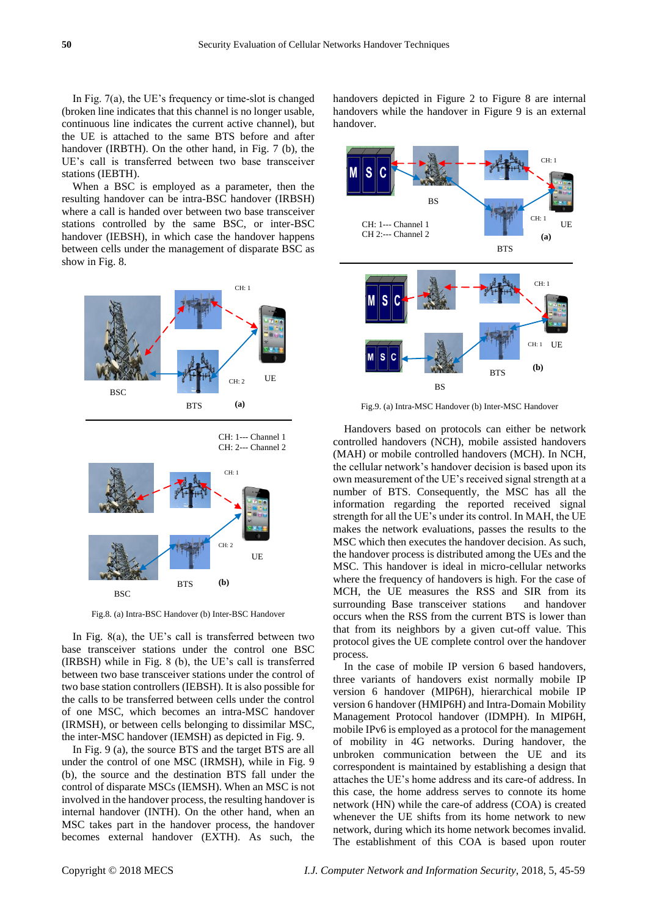In Fig. 7(a), the UE's frequency or time-slot is changed (broken line indicates that this channel is no longer usable, continuous line indicates the current active channel), but the UE is attached to the same BTS before and after handover (IRBTH). On the other hand, in Fig. 7 (b), the UE's call is transferred between two base transceiver stations (IEBTH).

When a BSC is employed as a parameter, then the resulting handover can be intra-BSC handover (IRBSH) where a call is handed over between two base transceiver stations controlled by the same BSC, or inter-BSC handover (IEBSH), in which case the handover happens between cells under the management of disparate BSC as show in Fig. 8.



CH: 2--- Channel 2



Fig.8. (a) Intra-BSC Handover (b) Inter-BSC Handover

In Fig. 8(a), the UE's call is transferred between two base transceiver stations under the control one BSC (IRBSH) while in Fig. 8 (b), the UE's call is transferred between two base transceiver stations under the control of two base station controllers (IEBSH). It is also possible for the calls to be transferred between cells under the control of one MSC, which becomes an intra-MSC handover (IRMSH), or between cells belonging to dissimilar MSC, the inter-MSC handover (IEMSH) as depicted in Fig. 9.

In Fig. 9 (a), the source BTS and the target BTS are all under the control of one MSC (IRMSH), while in Fig. 9 (b), the source and the destination BTS fall under the control of disparate MSCs (IEMSH). When an MSC is not involved in the handover process, the resulting handover is internal handover (INTH). On the other hand, when an MSC takes part in the handover process, the handover becomes external handover (EXTH). As such, the

handovers depicted in Figure 2 to Figure 8 are internal handovers while the handover in Figure 9 is an external handover.



Fig.9. (a) Intra-MSC Handover (b) Inter-MSC Handover

Handovers based on protocols can either be network controlled handovers (NCH), mobile assisted handovers (MAH) or mobile controlled handovers (MCH). In NCH, the cellular network's handover decision is based upon its own measurement of the UE's received signal strength at a number of BTS. Consequently, the MSC has all the information regarding the reported received signal strength for all the UE's under its control. In MAH, the UE makes the network evaluations, passes the results to the MSC which then executes the handover decision. As such, the handover process is distributed among the UEs and the MSC. This handover is ideal in micro-cellular networks where the frequency of handovers is high. For the case of MCH, the UE measures the RSS and SIR from its surrounding Base transceiver stations and handover occurs when the RSS from the current BTS is lower than that from its neighbors by a given cut-off value. This protocol gives the UE complete control over the handover process.

In the case of mobile IP version 6 based handovers, three variants of handovers exist normally mobile IP version 6 handover (MIP6H), hierarchical mobile IP version 6 handover (HMIP6H) and Intra-Domain Mobility Management Protocol handover (IDMPH). In MIP6H, mobile IPv6 is employed as a protocol for the management of mobility in 4G networks. During handover, the unbroken communication between the UE and its correspondent is maintained by establishing a design that attaches the UE's home address and its care-of address. In this case, the home address serves to connote its home network (HN) while the care-of address (COA) is created whenever the UE shifts from its home network to new network, during which its home network becomes invalid. The establishment of this COA is based upon router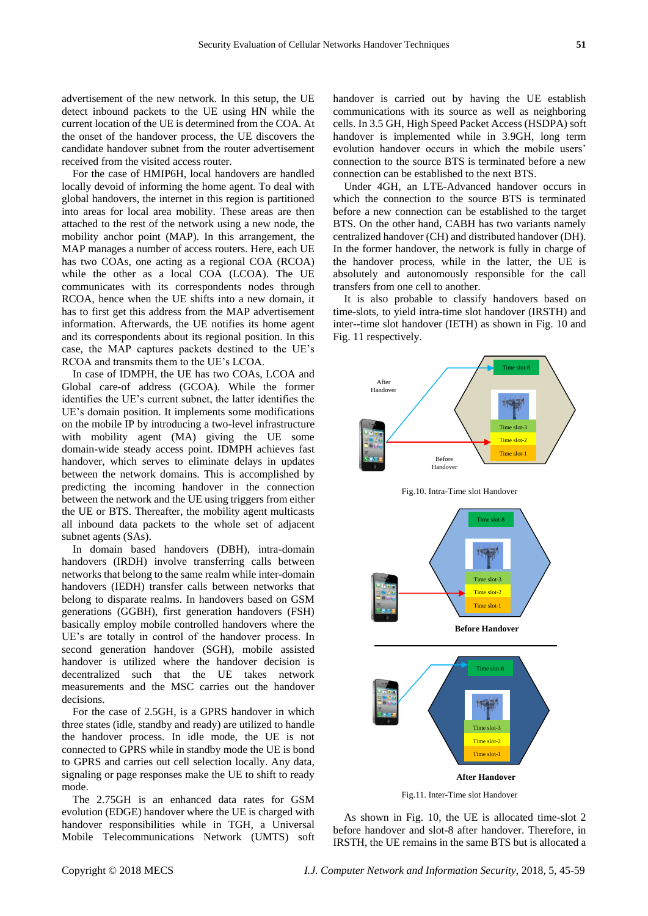advertisement of the new network. In this setup, the UE detect inbound packets to the UE using HN while the current location of the UE is determined from the COA. At the onset of the handover process, the UE discovers the candidate handover subnet from the router advertisement received from the visited access router.

For the case of HMIP6H, local handovers are handled locally devoid of informing the home agent. To deal with global handovers, the internet in this region is partitioned into areas for local area mobility. These areas are then attached to the rest of the network using a new node, the mobility anchor point (MAP). In this arrangement, the MAP manages a number of access routers. Here, each UE has two COAs, one acting as a regional COA (RCOA) while the other as a local COA (LCOA). The UE communicates with its correspondents nodes through RCOA, hence when the UE shifts into a new domain, it has to first get this address from the MAP advertisement information. Afterwards, the UE notifies its home agent and its correspondents about its regional position. In this case, the MAP captures packets destined to the UE's RCOA and transmits them to the UE's LCOA.

In case of IDMPH, the UE has two COAs, LCOA and Global care-of address (GCOA). While the former identifies the UE's current subnet, the latter identifies the UE's domain position. It implements some modifications on the mobile IP by introducing a two-level infrastructure with mobility agent (MA) giving the UE some domain-wide steady access point. IDMPH achieves fast handover, which serves to eliminate delays in updates between the network domains. This is accomplished by predicting the incoming handover in the connection between the network and the UE using triggers from either the UE or BTS. Thereafter, the mobility agent multicasts all inbound data packets to the whole set of adjacent subnet agents (SAs).

In domain based handovers (DBH), intra-domain handovers (IRDH) involve transferring calls between networks that belong to the same realm while inter-domain handovers (IEDH) transfer calls between networks that belong to disparate realms. In handovers based on GSM generations (GGBH), first generation handovers (FSH) basically employ mobile controlled handovers where the UE's are totally in control of the handover process. In second generation handover (SGH), mobile assisted handover is utilized where the handover decision is decentralized such that the UE takes network measurements and the MSC carries out the handover decisions.

For the case of 2.5GH, is a GPRS handover in which three states (idle, standby and ready) are utilized to handle the handover process. In idle mode, the UE is not connected to GPRS while in standby mode the UE is bond to GPRS and carries out cell selection locally. Any data, signaling or page responses make the UE to shift to ready mode.

The 2.75GH is an enhanced data rates for GSM evolution (EDGE) handover where the UE is charged with handover responsibilities while in TGH, a Universal Mobile Telecommunications Network (UMTS) soft handover is carried out by having the UE establish communications with its source as well as neighboring cells. In 3.5 GH, High Speed Packet Access (HSDPA) soft handover is implemented while in 3.9GH, long term evolution handover occurs in which the mobile users' connection to the source BTS is terminated before a new connection can be established to the next BTS.

Under 4GH, an LTE-Advanced handover occurs in which the connection to the source BTS is terminated before a new connection can be established to the target BTS. On the other hand, CABH has two variants namely centralized handover (CH) and distributed handover (DH). In the former handover, the network is fully in charge of the handover process, while in the latter, the UE is absolutely and autonomously responsible for the call transfers from one cell to another.

It is also probable to classify handovers based on time-slots, to yield intra-time slot handover (IRSTH) and inter--time slot handover (IETH) as shown in Fig. 10 and Fig. 11 respectively.







Fig.11. Inter-Time slot Handover

As shown in Fig. 10, the UE is allocated time-slot 2 before handover and slot-8 after handover. Therefore, in IRSTH, the UE remains in the same BTS but is allocated a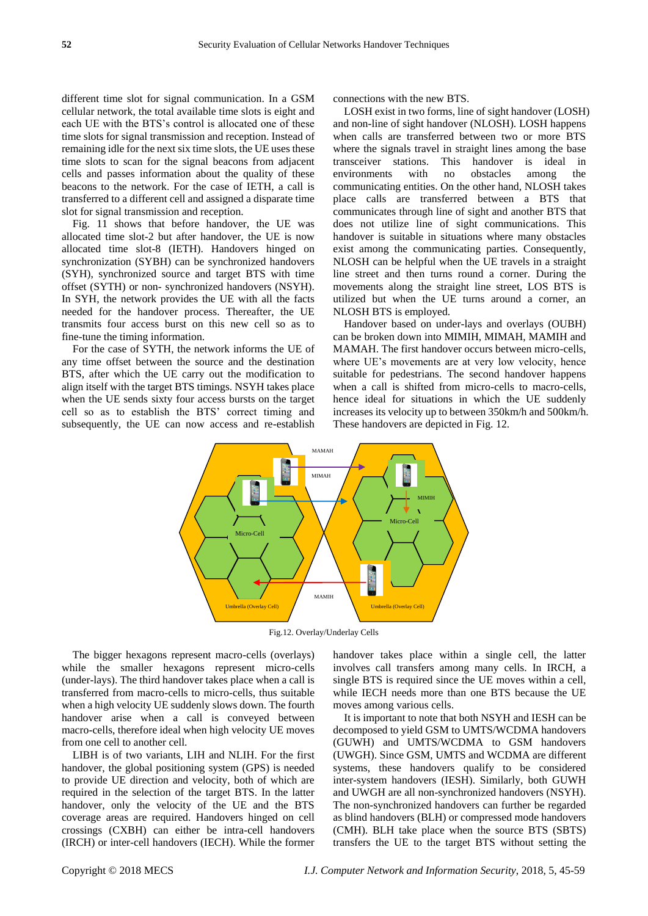different time slot for signal communication. In a GSM cellular network, the total available time slots is eight and each UE with the BTS's control is allocated one of these time slots for signal transmission and reception. Instead of remaining idle for the next six time slots, the UE uses these time slots to scan for the signal beacons from adjacent cells and passes information about the quality of these beacons to the network. For the case of IETH, a call is transferred to a different cell and assigned a disparate time slot for signal transmission and reception.

Fig. 11 shows that before handover, the UE was allocated time slot-2 but after handover, the UE is now allocated time slot-8 (IETH). Handovers hinged on synchronization (SYBH) can be synchronized handovers (SYH), synchronized source and target BTS with time offset (SYTH) or non- synchronized handovers (NSYH). In SYH, the network provides the UE with all the facts needed for the handover process. Thereafter, the UE transmits four access burst on this new cell so as to fine-tune the timing information.

For the case of SYTH, the network informs the UE of any time offset between the source and the destination BTS, after which the UE carry out the modification to align itself with the target BTS timings. NSYH takes place when the UE sends sixty four access bursts on the target cell so as to establish the BTS' correct timing and subsequently, the UE can now access and re-establish connections with the new BTS.

LOSH exist in two forms, line of sight handover (LOSH) and non-line of sight handover (NLOSH). LOSH happens when calls are transferred between two or more BTS where the signals travel in straight lines among the base transceiver stations. This handover is ideal in environments with no obstacles among the communicating entities. On the other hand, NLOSH takes place calls are transferred between a BTS that communicates through line of sight and another BTS that does not utilize line of sight communications. This handover is suitable in situations where many obstacles exist among the communicating parties. Consequently, NLOSH can be helpful when the UE travels in a straight line street and then turns round a corner. During the movements along the straight line street, LOS BTS is utilized but when the UE turns around a corner, an NLOSH BTS is employed.

Handover based on under-lays and overlays (OUBH) can be broken down into MIMIH, MIMAH, MAMIH and MAMAH. The first handover occurs between micro-cells, where UE's movements are at very low velocity, hence suitable for pedestrians. The second handover happens when a call is shifted from micro-cells to macro-cells, hence ideal for situations in which the UE suddenly increases its velocity up to between 350km/h and 500km/h. These handovers are depicted in Fig. 12.



Fig.12. Overlay/Underlay Cells

The bigger hexagons represent macro-cells (overlays) while the smaller hexagons represent micro-cells (under-lays). The third handover takes place when a call is transferred from macro-cells to micro-cells, thus suitable when a high velocity UE suddenly slows down. The fourth handover arise when a call is conveyed between macro-cells, therefore ideal when high velocity UE moves from one cell to another cell.

LIBH is of two variants, LIH and NLIH. For the first handover, the global positioning system (GPS) is needed to provide UE direction and velocity, both of which are required in the selection of the target BTS. In the latter handover, only the velocity of the UE and the BTS coverage areas are required. Handovers hinged on cell crossings (CXBH) can either be intra-cell handovers (IRCH) or inter-cell handovers (IECH). While the former handover takes place within a single cell, the latter involves call transfers among many cells. In IRCH, a single BTS is required since the UE moves within a cell, while IECH needs more than one BTS because the UE moves among various cells.

It is important to note that both NSYH and IESH can be decomposed to yield GSM to UMTS/WCDMA handovers (GUWH) and UMTS/WCDMA to GSM handovers (UWGH). Since GSM, UMTS and WCDMA are different systems, these handovers qualify to be considered inter-system handovers (IESH). Similarly, both GUWH and UWGH are all non-synchronized handovers (NSYH). The non-synchronized handovers can further be regarded as blind handovers (BLH) or compressed mode handovers (CMH). BLH take place when the source BTS (SBTS) transfers the UE to the target BTS without setting the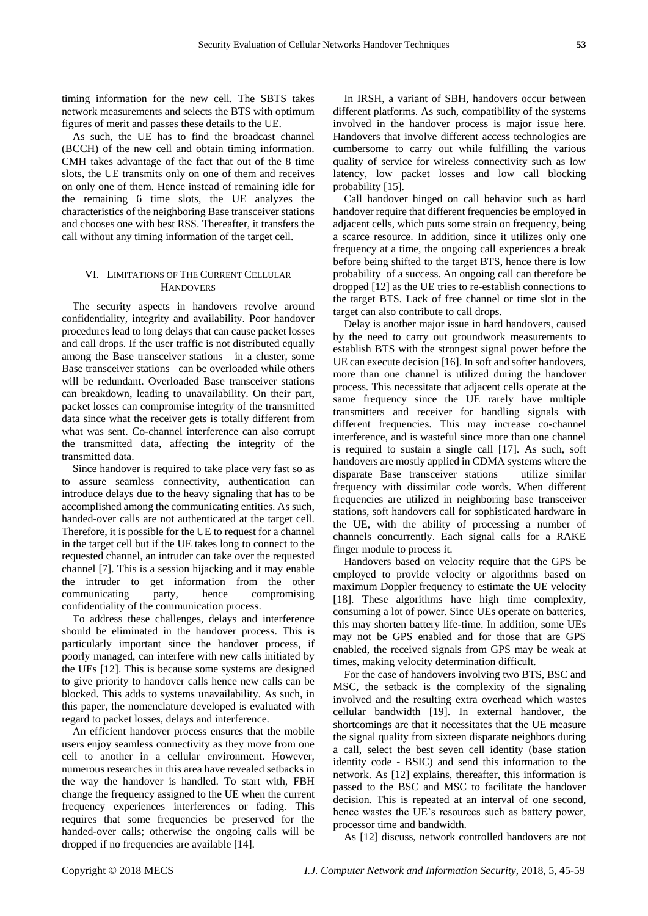timing information for the new cell. The SBTS takes network measurements and selects the BTS with optimum figures of merit and passes these details to the UE.

As such, the UE has to find the broadcast channel (BCCH) of the new cell and obtain timing information. CMH takes advantage of the fact that out of the 8 time slots, the UE transmits only on one of them and receives on only one of them. Hence instead of remaining idle for the remaining 6 time slots, the UE analyzes the characteristics of the neighboring Base transceiver stations and chooses one with best RSS. Thereafter, it transfers the call without any timing information of the target cell.

## VI. LIMITATIONS OF THE CURRENT CELLULAR **HANDOVERS**

The security aspects in handovers revolve around confidentiality, integrity and availability. Poor handover procedures lead to long delays that can cause packet losses and call drops. If the user traffic is not distributed equally among the Base transceiver stations in a cluster, some Base transceiver stations can be overloaded while others will be redundant. Overloaded Base transceiver stations can breakdown, leading to unavailability. On their part, packet losses can compromise integrity of the transmitted data since what the receiver gets is totally different from what was sent. Co-channel interference can also corrupt the transmitted data, affecting the integrity of the transmitted data.

Since handover is required to take place very fast so as to assure seamless connectivity, authentication can introduce delays due to the heavy signaling that has to be accomplished among the communicating entities. As such, handed-over calls are not authenticated at the target cell. Therefore, it is possible for the UE to request for a channel in the target cell but if the UE takes long to connect to the requested channel, an intruder can take over the requested channel [7]. This is a session hijacking and it may enable the intruder to get information from the other communicating party, hence compromising confidentiality of the communication process.

To address these challenges, delays and interference should be eliminated in the handover process. This is particularly important since the handover process, if poorly managed, can interfere with new calls initiated by the UEs [12]. This is because some systems are designed to give priority to handover calls hence new calls can be blocked. This adds to systems unavailability. As such, in this paper, the nomenclature developed is evaluated with regard to packet losses, delays and interference.

An efficient handover process ensures that the mobile users enjoy seamless connectivity as they move from one cell to another in a cellular environment. However, numerous researches in this area have revealed setbacks in the way the handover is handled. To start with, FBH change the frequency assigned to the UE when the current frequency experiences interferences or fading. This requires that some frequencies be preserved for the handed-over calls; otherwise the ongoing calls will be dropped if no frequencies are available [14].

In IRSH, a variant of SBH, handovers occur between different platforms. As such, compatibility of the systems involved in the handover process is major issue here. Handovers that involve different access technologies are cumbersome to carry out while fulfilling the various quality of service for wireless connectivity such as low latency, low packet losses and low call blocking probability [15].

Call handover hinged on call behavior such as hard handover require that different frequencies be employed in adjacent cells, which puts some strain on frequency, being a scarce resource. In addition, since it utilizes only one frequency at a time, the ongoing call experiences a break before being shifted to the target BTS, hence there is low probability of a success. An ongoing call can therefore be dropped [12] as the UE tries to re-establish connections to the target BTS. Lack of free channel or time slot in the target can also contribute to call drops.

Delay is another major issue in hard handovers, caused by the need to carry out groundwork measurements to establish BTS with the strongest signal power before the UE can execute decision [16]. In soft and softer handovers, more than one channel is utilized during the handover process. This necessitate that adjacent cells operate at the same frequency since the UE rarely have multiple transmitters and receiver for handling signals with different frequencies. This may increase co-channel interference, and is wasteful since more than one channel is required to sustain a single call [17]. As such, soft handovers are mostly applied in CDMA systems where the disparate Base transceiver stations utilize similar frequency with dissimilar code words. When different frequencies are utilized in neighboring base transceiver stations, soft handovers call for sophisticated hardware in the UE, with the ability of processing a number of channels concurrently. Each signal calls for a RAKE finger module to process it.

Handovers based on velocity require that the GPS be employed to provide velocity or algorithms based on maximum Doppler frequency to estimate the UE velocity [18]. These algorithms have high time complexity, consuming a lot of power. Since UEs operate on batteries, this may shorten battery life-time. In addition, some UEs may not be GPS enabled and for those that are GPS enabled, the received signals from GPS may be weak at times, making velocity determination difficult.

For the case of handovers involving two BTS, BSC and MSC, the setback is the complexity of the signaling involved and the resulting extra overhead which wastes cellular bandwidth [19]. In external handover, the shortcomings are that it necessitates that the UE measure the signal quality from sixteen disparate neighbors during a call, select the best seven cell identity (base station identity code - BSIC) and send this information to the network. As [12] explains, thereafter, this information is passed to the BSC and MSC to facilitate the handover decision. This is repeated at an interval of one second, hence wastes the UE's resources such as battery power, processor time and bandwidth.

As [12] discuss, network controlled handovers are not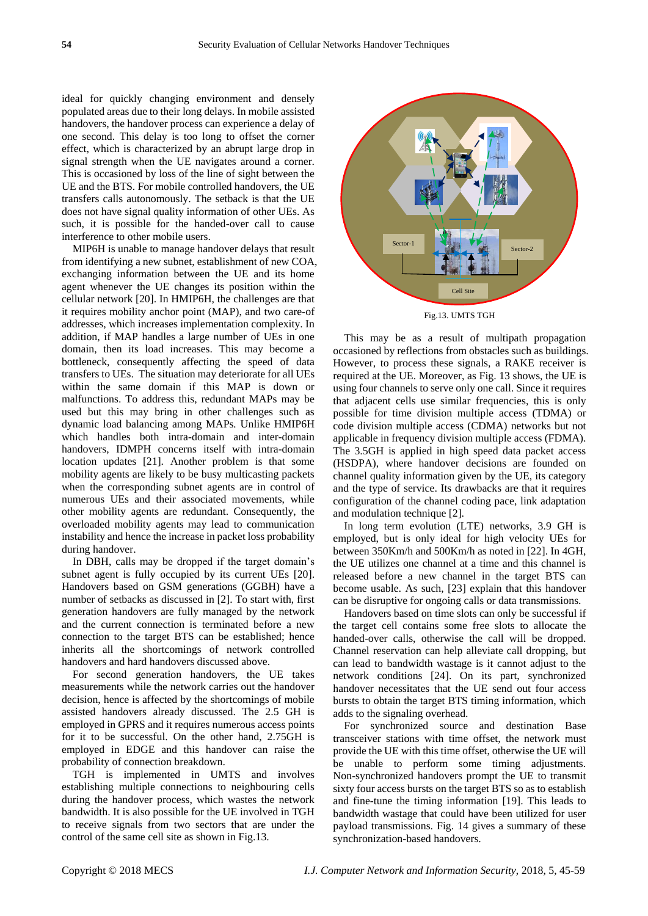ideal for quickly changing environment and densely populated areas due to their long delays. In mobile assisted handovers, the handover process can experience a delay of one second. This delay is too long to offset the corner effect, which is characterized by an abrupt large drop in signal strength when the UE navigates around a corner. This is occasioned by loss of the line of sight between the UE and the BTS. For mobile controlled handovers, the UE transfers calls autonomously. The setback is that the UE does not have signal quality information of other UEs. As such, it is possible for the handed-over call to cause interference to other mobile users.

MIP6H is unable to manage handover delays that result from identifying a new subnet, establishment of new COA, exchanging information between the UE and its home agent whenever the UE changes its position within the cellular network [20]. In HMIP6H, the challenges are that it requires mobility anchor point (MAP), and two care-of addresses, which increases implementation complexity. In addition, if MAP handles a large number of UEs in one domain, then its load increases. This may become a bottleneck, consequently affecting the speed of data transfers to UEs. The situation may deteriorate for all UEs within the same domain if this MAP is down or malfunctions. To address this, redundant MAPs may be used but this may bring in other challenges such as dynamic load balancing among MAPs*.* Unlike HMIP6H which handles both intra-domain and inter-domain handovers, IDMPH concerns itself with intra-domain location updates [21]. Another problem is that some mobility agents are likely to be busy multicasting packets when the corresponding subnet agents are in control of numerous UEs and their associated movements, while other mobility agents are redundant. Consequently, the overloaded mobility agents may lead to communication instability and hence the increase in packet loss probability during handover.

In DBH, calls may be dropped if the target domain's subnet agent is fully occupied by its current UEs [20]. Handovers based on GSM generations (GGBH) have a number of setbacks as discussed in [2]. To start with, first generation handovers are fully managed by the network and the current connection is terminated before a new connection to the target BTS can be established; hence inherits all the shortcomings of network controlled handovers and hard handovers discussed above.

For second generation handovers, the UE takes measurements while the network carries out the handover decision, hence is affected by the shortcomings of mobile assisted handovers already discussed. The 2.5 GH is employed in GPRS and it requires numerous access points for it to be successful. On the other hand, 2.75GH is employed in EDGE and this handover can raise the probability of connection breakdown.

TGH is implemented in UMTS and involves establishing multiple connections to neighbouring cells during the handover process, which wastes the network bandwidth. It is also possible for the UE involved in TGH to receive signals from two sectors that are under the control of the same cell site as shown in Fig.13.



Fig.13. UMTS TGH

This may be as a result of multipath propagation occasioned by reflections from obstacles such as buildings. However, to process these signals, a RAKE receiver is required at the UE. Moreover, as Fig. 13 shows, the UE is using four channels to serve only one call. Since it requires that adjacent cells use similar frequencies, this is only possible for time division multiple access (TDMA) or code division multiple access (CDMA) networks but not applicable in frequency division multiple access (FDMA). The 3.5GH is applied in high speed data packet access (HSDPA), where handover decisions are founded on channel quality information given by the UE, its category and the type of service. Its drawbacks are that it requires configuration of the channel coding pace, link adaptation and modulation technique [2].

In long term evolution (LTE) networks, 3.9 GH is employed, but is only ideal for high velocity UEs for between 350Km/h and 500Km/h as noted in [22]. In 4GH, the UE utilizes one channel at a time and this channel is released before a new channel in the target BTS can become usable. As such, [23] explain that this handover can be disruptive for ongoing calls or data transmissions.

Handovers based on time slots can only be successful if the target cell contains some free slots to allocate the handed-over calls, otherwise the call will be dropped. Channel reservation can help alleviate call dropping, but can lead to bandwidth wastage is it cannot adjust to the network conditions [24]. On its part, synchronized handover necessitates that the UE send out four access bursts to obtain the target BTS timing information, which adds to the signaling overhead.

For synchronized source and destination Base transceiver stations with time offset, the network must provide the UE with this time offset, otherwise the UE will be unable to perform some timing adjustments. Non-synchronized handovers prompt the UE to transmit sixty four access bursts on the target BTS so as to establish and fine-tune the timing information [19]. This leads to bandwidth wastage that could have been utilized for user payload transmissions. Fig. 14 gives a summary of these synchronization-based handovers.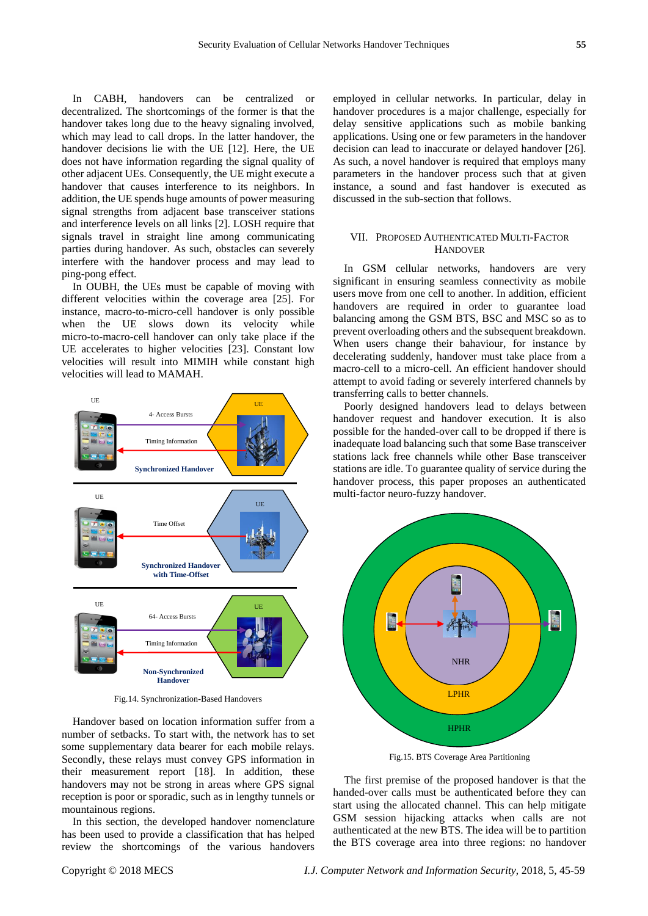In CABH, handovers can be centralized or decentralized. The shortcomings of the former is that the handover takes long due to the heavy signaling involved, which may lead to call drops. In the latter handover, the handover decisions lie with the UE [12]. Here, the UE does not have information regarding the signal quality of other adjacent UEs. Consequently, the UE might execute a handover that causes interference to its neighbors. In addition, the UE spends huge amounts of power measuring signal strengths from adjacent base transceiver stations and interference levels on all links [2]. LOSH require that signals travel in straight line among communicating parties during handover. As such, obstacles can severely interfere with the handover process and may lead to ping-pong effect.

In OUBH, the UEs must be capable of moving with different velocities within the coverage area [25]. For instance, macro-to-micro-cell handover is only possible when the UE slows down its velocity while micro-to-macro-cell handover can only take place if the UE accelerates to higher velocities [23]. Constant low velocities will result into MIMIH while constant high velocities will lead to MAMAH.



Fig.14. Synchronization-Based Handovers

Handover based on location information suffer from a number of setbacks. To start with, the network has to set some supplementary data bearer for each mobile relays. Secondly, these relays must convey GPS information in their measurement report [18]. In addition, these handovers may not be strong in areas where GPS signal reception is poor or sporadic, such as in lengthy tunnels or mountainous regions.

In this section, the developed handover nomenclature has been used to provide a classification that has helped review the shortcomings of the various handovers

employed in cellular networks. In particular, delay in handover procedures is a major challenge, especially for delay sensitive applications such as mobile banking applications. Using one or few parameters in the handover decision can lead to inaccurate or delayed handover [26]. As such, a novel handover is required that employs many parameters in the handover process such that at given instance, a sound and fast handover is executed as discussed in the sub-section that follows.

## VII. PROPOSED AUTHENTICATED MULTI-FACTOR **HANDOVER**

In GSM cellular networks, handovers are very significant in ensuring seamless connectivity as mobile users move from one cell to another. In addition, efficient handovers are required in order to guarantee load balancing among the GSM BTS, BSC and MSC so as to prevent overloading others and the subsequent breakdown. When users change their bahaviour, for instance by decelerating suddenly, handover must take place from a macro-cell to a micro-cell. An efficient handover should attempt to avoid fading or severely interfered channels by transferring calls to better channels.

Poorly designed handovers lead to delays between handover request and handover execution. It is also possible for the handed-over call to be dropped if there is inadequate load balancing such that some Base transceiver stations lack free channels while other Base transceiver stations are idle. To guarantee quality of service during the handover process, this paper proposes an authenticated multi-factor neuro-fuzzy handover.



Fig.15. BTS Coverage Area Partitioning

The first premise of the proposed handover is that the handed-over calls must be authenticated before they can start using the allocated channel. This can help mitigate GSM session hijacking attacks when calls are not authenticated at the new BTS. The idea will be to partition the BTS coverage area into three regions: no handover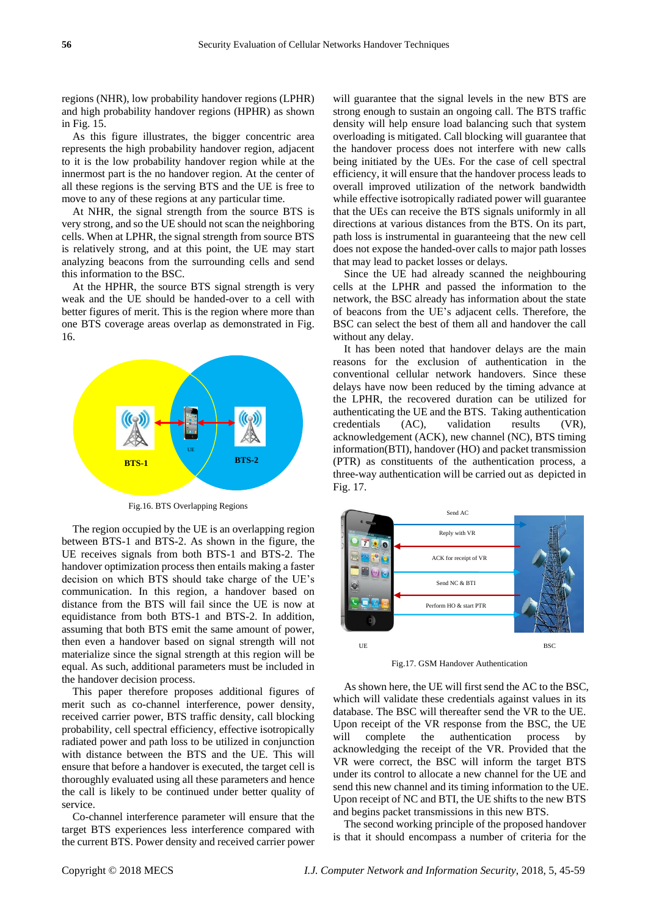regions (NHR), low probability handover regions (LPHR) and high probability handover regions (HPHR) as shown in Fig. 15.

As this figure illustrates, the bigger concentric area represents the high probability handover region, adjacent to it is the low probability handover region while at the innermost part is the no handover region. At the center of all these regions is the serving BTS and the UE is free to move to any of these regions at any particular time.

At NHR, the signal strength from the source BTS is very strong, and so the UE should not scan the neighboring cells. When at LPHR, the signal strength from source BTS is relatively strong, and at this point, the UE may start analyzing beacons from the surrounding cells and send this information to the BSC.

At the HPHR, the source BTS signal strength is very weak and the UE should be handed-over to a cell with better figures of merit. This is the region where more than one BTS coverage areas overlap as demonstrated in Fig. 16.



Fig.16. BTS Overlapping Regions

The region occupied by the UE is an overlapping region between BTS-1 and BTS-2. As shown in the figure, the UE receives signals from both BTS-1 and BTS-2. The handover optimization process then entails making a faster decision on which BTS should take charge of the UE's communication. In this region, a handover based on distance from the BTS will fail since the UE is now at equidistance from both BTS-1 and BTS-2. In addition, assuming that both BTS emit the same amount of power, then even a handover based on signal strength will not materialize since the signal strength at this region will be equal. As such, additional parameters must be included in the handover decision process.

This paper therefore proposes additional figures of merit such as co-channel interference, power density, received carrier power, BTS traffic density, call blocking probability, cell spectral efficiency, effective isotropically radiated power and path loss to be utilized in conjunction with distance between the BTS and the UE. This will ensure that before a handover is executed, the target cell is thoroughly evaluated using all these parameters and hence the call is likely to be continued under better quality of service.

Co-channel interference parameter will ensure that the target BTS experiences less interference compared with the current BTS. Power density and received carrier power will guarantee that the signal levels in the new BTS are strong enough to sustain an ongoing call. The BTS traffic density will help ensure load balancing such that system overloading is mitigated. Call blocking will guarantee that the handover process does not interfere with new calls being initiated by the UEs. For the case of cell spectral efficiency, it will ensure that the handover process leads to overall improved utilization of the network bandwidth while effective isotropically radiated power will guarantee that the UEs can receive the BTS signals uniformly in all directions at various distances from the BTS. On its part, path loss is instrumental in guaranteeing that the new cell does not expose the handed-over calls to major path losses that may lead to packet losses or delays.

Since the UE had already scanned the neighbouring cells at the LPHR and passed the information to the network, the BSC already has information about the state of beacons from the UE's adjacent cells. Therefore, the BSC can select the best of them all and handover the call without any delay.

It has been noted that handover delays are the main reasons for the exclusion of authentication in the conventional cellular network handovers. Since these delays have now been reduced by the timing advance at the LPHR, the recovered duration can be utilized for authenticating the UE and the BTS. Taking authentication credentials (AC), validation results (VR), acknowledgement (ACK), new channel (NC), BTS timing information(BTI), handover (HO) and packet transmission (PTR) as constituents of the authentication process, a three-way authentication will be carried out as depicted in Fig. 17.



Fig.17. GSM Handover Authentication

As shown here, the UE will first send the AC to the BSC, which will validate these credentials against values in its database. The BSC will thereafter send the VR to the UE. Upon receipt of the VR response from the BSC, the UE will complete the authentication process by acknowledging the receipt of the VR. Provided that the VR were correct, the BSC will inform the target BTS under its control to allocate a new channel for the UE and send this new channel and its timing information to the UE. Upon receipt of NC and BTI, the UE shifts to the new BTS and begins packet transmissions in this new BTS.

The second working principle of the proposed handover is that it should encompass a number of criteria for the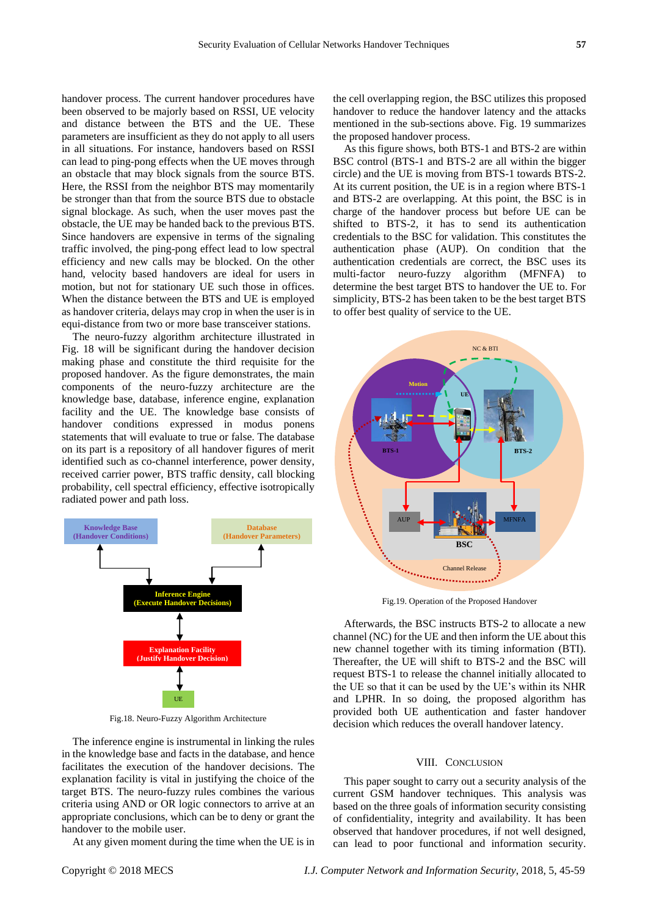handover process. The current handover procedures have been observed to be majorly based on RSSI, UE velocity and distance between the BTS and the UE. These parameters are insufficient as they do not apply to all users in all situations. For instance, handovers based on RSSI can lead to ping-pong effects when the UE moves through an obstacle that may block signals from the source BTS. Here, the RSSI from the neighbor BTS may momentarily be stronger than that from the source BTS due to obstacle signal blockage. As such, when the user moves past the obstacle, the UE may be handed back to the previous BTS. Since handovers are expensive in terms of the signaling traffic involved, the ping-pong effect lead to low spectral efficiency and new calls may be blocked. On the other hand, velocity based handovers are ideal for users in motion, but not for stationary UE such those in offices. When the distance between the BTS and UE is employed as handover criteria, delays may crop in when the user is in equi-distance from two or more base transceiver stations.

The neuro-fuzzy algorithm architecture illustrated in Fig. 18 will be significant during the handover decision making phase and constitute the third requisite for the proposed handover. As the figure demonstrates, the main components of the neuro-fuzzy architecture are the knowledge base, database, inference engine, explanation facility and the UE. The knowledge base consists of handover conditions expressed in modus ponens statements that will evaluate to true or false. The database on its part is a repository of all handover figures of merit identified such as co-channel interference, power density, received carrier power, BTS traffic density, call blocking probability, cell spectral efficiency, effective isotropically radiated power and path loss.



Fig.18. Neuro-Fuzzy Algorithm Architecture

The inference engine is instrumental in linking the rules in the knowledge base and facts in the database, and hence facilitates the execution of the handover decisions. The explanation facility is vital in justifying the choice of the target BTS. The neuro-fuzzy rules combines the various criteria using AND or OR logic connectors to arrive at an appropriate conclusions, which can be to deny or grant the handover to the mobile user.

At any given moment during the time when the UE is in

the cell overlapping region, the BSC utilizes this proposed handover to reduce the handover latency and the attacks mentioned in the sub-sections above. Fig. 19 summarizes the proposed handover process.

As this figure shows, both BTS-1 and BTS-2 are within BSC control (BTS-1 and BTS-2 are all within the bigger circle) and the UE is moving from BTS-1 towards BTS-2. At its current position, the UE is in a region where BTS-1 and BTS-2 are overlapping. At this point, the BSC is in charge of the handover process but before UE can be shifted to BTS-2, it has to send its authentication credentials to the BSC for validation. This constitutes the authentication phase (AUP). On condition that the authentication credentials are correct, the BSC uses its multi-factor neuro-fuzzy algorithm (MFNFA) to determine the best target BTS to handover the UE to. For simplicity, BTS-2 has been taken to be the best target BTS to offer best quality of service to the UE.



Fig.19. Operation of the Proposed Handover

Afterwards, the BSC instructs BTS-2 to allocate a new channel (NC) for the UE and then inform the UE about this new channel together with its timing information (BTI). Thereafter, the UE will shift to BTS-2 and the BSC will request BTS-1 to release the channel initially allocated to the UE so that it can be used by the UE's within its NHR and LPHR. In so doing, the proposed algorithm has provided both UE authentication and faster handover decision which reduces the overall handover latency.

#### VIII. CONCLUSION

This paper sought to carry out a security analysis of the current GSM handover techniques. This analysis was based on the three goals of information security consisting of confidentiality, integrity and availability. It has been observed that handover procedures, if not well designed, can lead to poor functional and information security.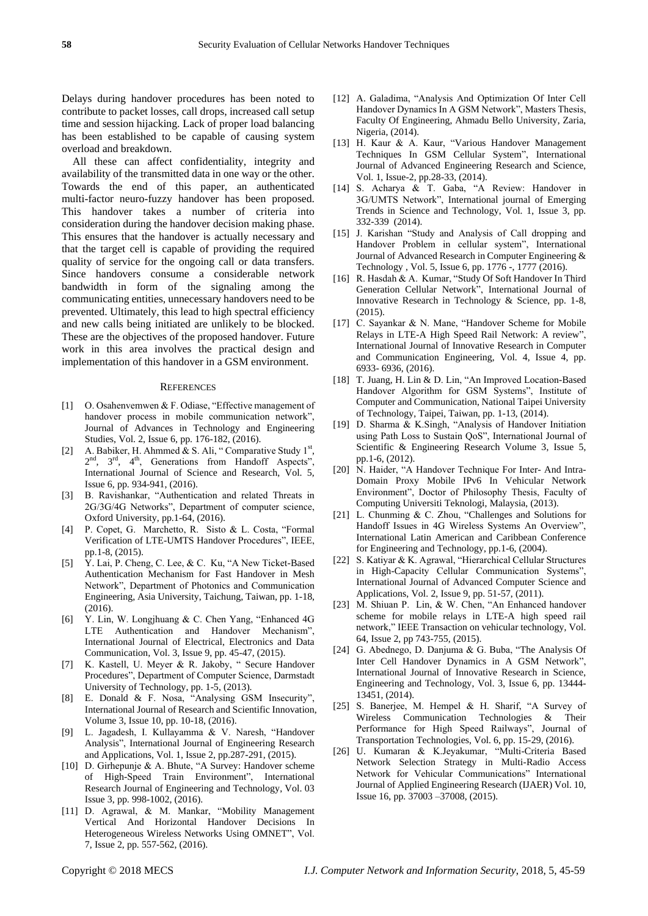Delays during handover procedures has been noted to contribute to packet losses, call drops, increased call setup time and session hijacking. Lack of proper load balancing has been established to be capable of causing system overload and breakdown.

All these can affect confidentiality, integrity and availability of the transmitted data in one way or the other. Towards the end of this paper, an authenticated multi-factor neuro-fuzzy handover has been proposed. This handover takes a number of criteria into consideration during the handover decision making phase. This ensures that the handover is actually necessary and that the target cell is capable of providing the required quality of service for the ongoing call or data transfers. Since handovers consume a considerable network bandwidth in form of the signaling among the communicating entities, unnecessary handovers need to be prevented. Ultimately, this lead to high spectral efficiency and new calls being initiated are unlikely to be blocked. These are the objectives of the proposed handover. Future work in this area involves the practical design and implementation of this handover in a GSM environment.

#### **REFERENCES**

- [1] O. Osahenvemwen & F. Odiase, "Effective management of handover process in mobile communication network", Journal of Advances in Technology and Engineering Studies, Vol. 2, Issue 6, pp. 176-182, (2016).
- [2] A. Babiker, H. Ahmmed & S. Ali, "Comparative Study  $1<sup>st</sup>$ , 2<sup>nd</sup>, 3<sup>rd</sup>, 4<sup>th</sup>, Generations from Handoff Aspects", International Journal of Science and Research, Vol. 5, Issue 6, pp. 934-941, (2016).
- [3] B. Ravishankar, "Authentication and related Threats in 2G/3G/4G Networks", Department of computer science, Oxford University, pp.1-64, (2016).
- [4] P. Copet, G. Marchetto, R. Sisto & L. Costa, "Formal Verification of LTE-UMTS Handover Procedures", IEEE, pp.1-8, (2015).
- [5] Y. Lai, P. Cheng, C. Lee, & C. Ku, "A New Ticket-Based Authentication Mechanism for Fast Handover in Mesh Network", Department of Photonics and Communication Engineering, Asia University, Taichung, Taiwan, pp. 1-18,  $(2016)$ .
- [6] Y. Lin, W. Longjhuang & C. Chen Yang, "Enhanced 4G LTE Authentication and Handover Mechanism", International Journal of Electrical, Electronics and Data Communication, Vol. 3, Issue 9, pp. 45-47, (2015).
- [7] K. Kastell, U. Meyer & R. Jakoby, " Secure Handover Procedures", Department of Computer Science, Darmstadt University of Technology, pp. 1-5, (2013).
- [8] E. Donald & F. Nosa, "Analysing GSM Insecurity", International Journal of Research and Scientific Innovation, Volume 3, Issue 10, pp. 10-18, (2016).
- [9] L. Jagadesh, I. Kullayamma & V. Naresh, "Handover Analysis", International Journal of Engineering Research and Applications, Vol. 1, Issue 2, pp.287-291, (2015).
- [10] D. Girhepunje & A. Bhute, "A Survey: Handover scheme of High-Speed Train Environment", International Research Journal of Engineering and Technology, Vol. 03 Issue 3, pp. 998-1002, (2016).
- [11] D. Agrawal, & M. Mankar, "Mobility Management Vertical And Horizontal Handover Decisions In Heterogeneous Wireless Networks Using OMNET", Vol. 7, Issue 2, pp. 557-562, (2016).
- [12] A. Galadima, "Analysis And Optimization Of Inter Cell Handover Dynamics In A GSM Network", Masters Thesis, Faculty Of Engineering, Ahmadu Bello University, Zaria, Nigeria, (2014).
- [13] H. Kaur & A. Kaur, "Various Handover Management Techniques In GSM Cellular System", International Journal of Advanced Engineering Research and Science, Vol. 1, Issue-2, pp.28-33, (2014).
- [14] S. Acharya & T. Gaba, "A Review: Handover in 3G/UMTS Network", International journal of Emerging Trends in Science and Technology, Vol. 1, Issue 3, pp. 332-339 (2014).
- [15] J. Karishan "Study and Analysis of Call dropping and Handover Problem in cellular system", International Journal of Advanced Research in Computer Engineering & Technology , Vol. 5, Issue 6, pp. 1776 -, 1777 (2016).
- [16] R. Hasdah & A. Kumar, "Study Of Soft Handover In Third Generation Cellular Network", International Journal of Innovative Research in Technology & Science, pp. 1-8, (2015).
- [17] C. Sayankar & N. Mane, "Handover Scheme for Mobile Relays in LTE-A High Speed Rail Network: A review", International Journal of Innovative Research in Computer and Communication Engineering, Vol. 4, Issue 4, pp. 6933- 6936, (2016).
- [18] T. Juang, H. Lin & D. Lin, "An Improved Location-Based Handover Algorithm for GSM Systems", Institute of Computer and Communication, National Taipei University of Technology, Taipei, Taiwan, pp. 1-13, (2014).
- [19] D. Sharma & K.Singh, "Analysis of Handover Initiation using Path Loss to Sustain QoS", International Journal of Scientific & Engineering Research Volume 3, Issue 5, pp.1-6, (2012).
- [20] N. Haider, "A Handover Technique For Inter- And Intra-Domain Proxy Mobile IPv6 In Vehicular Network Environment", Doctor of Philosophy Thesis, Faculty of Computing Universiti Teknologi, Malaysia, (2013).
- [21] L. Chunming & C. Zhou, "Challenges and Solutions for Handoff Issues in 4G Wireless Systems An Overview", International Latin American and Caribbean Conference for Engineering and Technology, pp.1-6, (2004).
- [22] S. Katiyar & K. Agrawal, "Hierarchical Cellular Structures in High-Capacity Cellular Communication Systems", International Journal of Advanced Computer Science and Applications, Vol. 2, Issue 9, pp. 51-57, (2011).
- [23] M. Shiuan P. Lin, & W. Chen, "An Enhanced handover scheme for mobile relays in LTE-A high speed rail network," IEEE Transaction on vehicular technology, Vol. 64, Issue 2, pp 743-755, (2015).
- [24] G. Abednego, D. Danjuma & G. Buba, "The Analysis Of Inter Cell Handover Dynamics in A GSM Network", International Journal of Innovative Research in Science, Engineering and Technology, Vol. 3, Issue 6, pp. 13444- 13451, (2014).
- [25] S. Banerjee, M. Hempel & H. Sharif, "A Survey of Wireless Communication Technologies & Their Performance for High Speed Railways", Journal of Transportation Technologies, Vol. 6, pp. 15-29, (2016).
- [26] U. Kumaran & K.Jeyakumar, "Multi-Criteria Based Network Selection Strategy in Multi-Radio Access Network for Vehicular Communications" International Journal of Applied Engineering Research (IJAER) Vol. 10, Issue 16, pp. 37003 –37008, (2015).